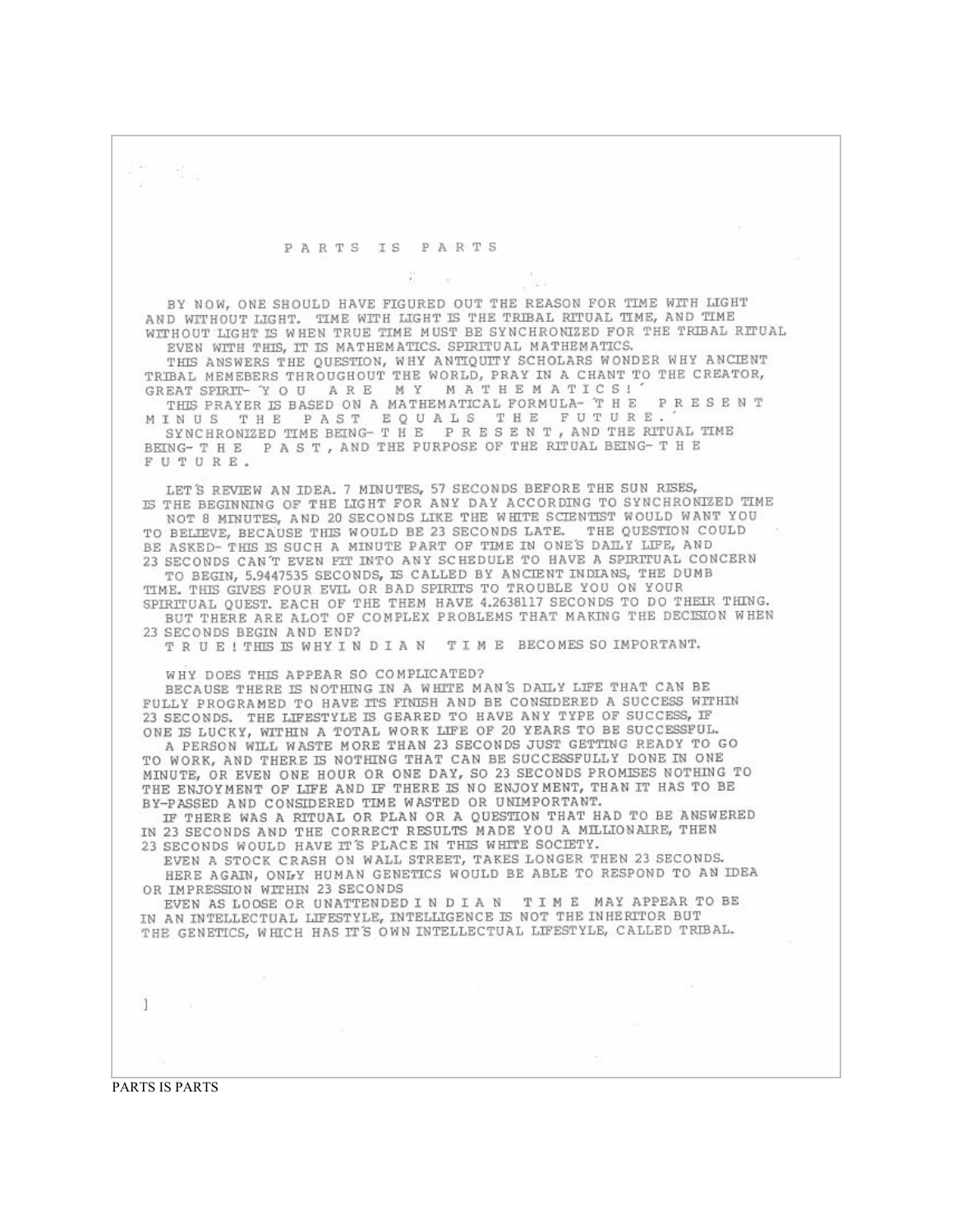u e

## PARTS IS PARTS

BY NOW, ONE SHOULD HAVE FIGURED OUT THE REASON FOR TIME WITH LIGHT AND WITHOUT LIGHT. TIME WITH LIGHT IS THE TRIBAL RITUAL TIME, AND TIME WITHOUT LIGHT IS WHEN TRUE TIME MUST BE SYNCHRONIZED FOR THE TRIBAL RITUAL EVEN WITH THIS, IT IS MATHEMATICS. SPIRITUAL MATHEMATICS.

THIS ANSWERS THE QUESTION, WHY ANTIQUITY SCHOLARS WONDER WHY ANCIENT TRIBAL MEMEBERS THROUGHOUT THE WORLD, PRAY IN A CHANT TO THE CREATOR, GREAT SPIRIT- YOU ARE MY MATHEMATICS!

THIS PRAYER IS BASED ON A MATHEMATICAL FORMULA- T H E P R E S E N T MINUS THE PAST EQUALS THE FUTURE. SYNCHRONIZED TIME BEING- T H E P R E S E N T, AND THE RITUAL TIME

BEING-THE PAST, AND THE PURPOSE OF THE RITUAL BEING-THE FUTURE.

LET'S REVIEW AN IDEA. 7 MINUTES, 57 SECONDS BEFORE THE SUN RISES, IS THE BEGINNING OF THE LIGHT FOR ANY DAY ACCORDING TO SYNCHRONIZED TIME NOT 8 MINUTES, AND 20 SECONDS LIKE THE WHITE SCIENTIST WOULD WANT YOU TO BELIEVE, BECAUSE THIS WOULD BE 23 SECONDS LATE. THE QUESTION COULD BE ASKED-THIS IS SUCH A MINUTE PART OF TIME IN ONE'S DAILY LIFE, AND

23 SECONDS CAN'T EVEN FIT INTO ANY SCHEDULE TO HAVE A SPIRITUAL CONCERN TO BEGIN, 5.9447535 SECONDS, IS CALLED BY ANCIENT INDIANS, THE DUMB

TIME. THIS GIVES FOUR EVIL OR BAD SPIRITS TO TROUBLE YOU ON YOUR SPIRITUAL QUEST. EACH OF THE THEM HAVE 4.2638117 SECONDS TO DO THEIR THING. BUT THERE ARE ALOT OF COMPLEX PROBLEMS THAT MAKING THE DECISION WHEN 23 SECONDS BEGIN AND END?

TRUE! THIS IS WHY IN DIAN TIME BECOMES SO IMPORTANT.

WHY DOES THIS APPEAR SO COMPLICATED?

BECAUSE THERE IS NOTHING IN A WHITE MAN'S DAILY LIFE THAT CAN BE FULLY PROGRAMED TO HAVE ITS FINISH AND BE CONSIDERED A SUCCESS WITHIN 23 SECONDS. THE LIFESTYLE IS GEARED TO HAVE ANY TYPE OF SUCCESS, IF ONE IS LUCKY, WITHIN A TOTAL WORK LIFE OF 20 YEARS TO BE SUCCESSFUL.

A PERSON WILL WASTE MORE THAN 23 SECONDS JUST GETTING READY TO GO TO WORK, AND THERE IS NOTHING THAT CAN BE SUCCESSFULLY DONE IN ONE MINUTE, OR EVEN ONE HOUR OR ONE DAY, SO 23 SECONDS PROMISES NOTHING TO THE ENJOYMENT OF LIFE AND IF THERE IS NO ENJOYMENT, THAN IT HAS TO BE BY-PASSED AND CONSIDERED TIME WASTED OR UNIMPORTANT.

IF THERE WAS A RITUAL OR PLAN OR A QUESTION THAT HAD TO BE ANSWERED IN 23 SECONDS AND THE CORRECT RESULTS MADE YOU A MILLIONAIRE, THEN 23 SECONDS WOULD HAVE IT'S PLACE IN THIS WHITE SOCIETY.

EVEN A STOCK CRASH ON WALL STREET, TAKES LONGER THEN 23 SECONDS. HERE AGAIN, ONLY HUMAN GENETICS WOULD BE ABLE TO RESPOND TO AN IDEA OR IMPRESSION WITHIN 23 SECONDS

EVEN AS LOOSE OR UNATTENDED IN DIAN TIME MAY APPEAR TO BE IN AN INTELLECTUAL LIFESTYLE, INTELLIGENCE IS NOT THE INHERITOR BUT THE GENETICS, WHICH HAS IT'S OWN INTELLECTUAL LIFESTYLE, CALLED TRIBAL.

-1

PARTS IS PARTS